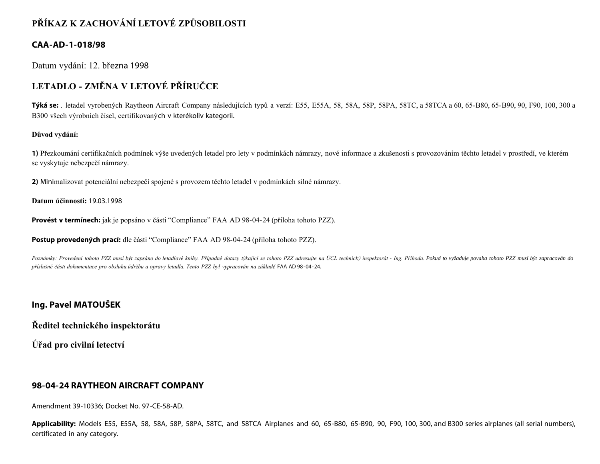# **PŘÍKAZ K ZACHOVÁNÍ LETOVÉ ZPŮSOBILOSTI**

### **CAA-AD-1-018/98**

Datum vydání: 12. března 1998

# **LETADLO - ZMĚNA V LETOVÉ PŘÍRUČCE**

**Týká se:** . letadel vyrobených Raytheon Aircraft Company následujících typů a verzí: E55, E55A, 58, 58A, 58P, 58PA, 58TC, a 58TCA a 60, 65-B80, 65-B90, 90, F90, 100, 300 a B300 všech výrobních čísel, certifikovaných v kterékoliv kategorii.

#### **Důvod vydání:**

**1)** Přezkoumání certifikačních podmínek výše uvedených letadel pro lety v podmínkách námrazy, nové informace a zkušenosti s provozováním těchto letadel v prostředí, ve kterém se vyskytuje nebezpečí námrazy.

**2)** Minimalizovat potenciální nebezpečí spojené s provozem těchto letadel v podmínkách silné námrazy.

**Datum účinnosti:** 19.03.1998

**Provést v termínech:** jak je popsáno v části "Compliance" FAA AD 98-04-24 (příloha tohoto PZZ).

**Postup provedených prací:** dle části "Compliance" FAA AD 98-04-24 (příloha tohoto PZZ).

Poznámky: Provedení tohoto PZZ musí být zapsáno do letadlové knihy. Případné dotazy týkající se tohoto PZZ adresujte na ÚCL technický inspektorát - Ing. Příhoda. Pokud to vyžaduje povaha tohoto PZZ musí být zapracován do *příslušné části dokumentace pro obsluhu,údržbu a opravy letadla. Tento PZZ byl vypracován na základě* FAA AD 98-04-24.

### **Ing. Pavel MATOUŠEK**

**Ředitel technického inspektorátu**

**Úřad pro civilní letectví**

### **98-04-24 RAYTHEON AIRCRAFT COMPANY**

Amendment 39-10336; Docket No. 97-CE-58-AD.

**Applicability:** Models E55, E55A, 58, 58A, 58P, 58PA, 58TC, and 58TCA Airplanes and 60, 65-B80, 65-B90, 90, F90, 100, 300, and B300 series airplanes (all serial numbers), certificated in any category.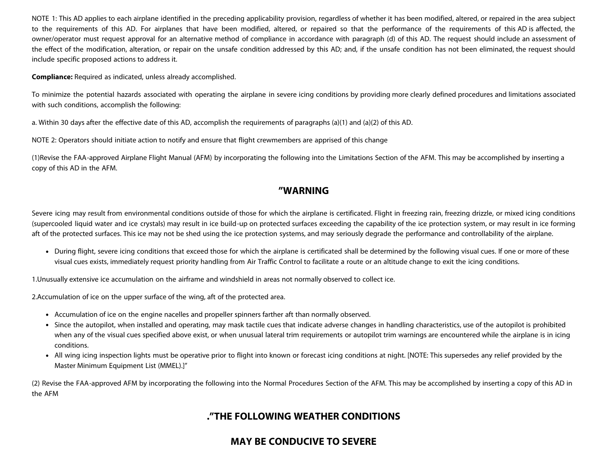NOTE 1: This AD applies to each airplane identified in the preceding applicability provision, regardless of whether it has been modified, altered, or repaired in the area subject to the requirements of this AD. For airplanes that have been modified, altered, or repaired so that the performance of the requirements of this AD is affected, the owner/operator must request approval for an alternative method of compliance in accordance with paragraph (d) of this AD. The request should include an assessment of the effect of the modification, alteration, or repair on the unsafe condition addressed by this AD; and, if the unsafe condition has not been eliminated, the request should include specific proposed actions to address it.

**Compliance:** Required as indicated, unless already accomplished.

To minimize the potential hazards associated with operating the airplane in severe icing conditions by providing more clearly defined procedures and limitations associated with such conditions, accomplish the following:

a. Within 30 days after the effective date of this AD, accomplish the requirements of paragraphs (a)(1) and (a)(2) of this AD.

NOTE 2: Operators should initiate action to notify and ensure that flight crewmembers are apprised of this change

(1)Revise the FAA-approved Airplane Flight Manual (AFM) by incorporating the following into the Limitations Section of the AFM. This may be accomplished by inserting a copy of this AD in the AFM.

### **"WARNING**

Severe icing may result from environmental conditions outside of those for which the airplane is certificated. Flight in freezing rain, freezing drizzle, or mixed icing conditions (supercooled liquid water and ice crystals) may result in ice build-up on protected surfaces exceeding the capability of the ice protection system, or may result in ice forming aft of the protected surfaces. This ice may not be shed using the ice protection systems, and may seriously degrade the performance and controllability of the airplane.

• During flight, severe icing conditions that exceed those for which the airplane is certificated shall be determined by the following visual cues. If one or more of these visual cues exists, immediately request priority handling from Air Traffic Control to facilitate a route or an altitude change to exit the icing conditions.

1.Unusually extensive ice accumulation on the airframe and windshield in areas not normally observed to collect ice.

2.Accumulation of ice on the upper surface of the wing, aft of the protected area.

- Accumulation of ice on the engine nacelles and propeller spinners farther aft than normally observed.
- Since the autopilot, when installed and operating, may mask tactile cues that indicate adverse changes in handling characteristics, use of the autopilot is prohibited when any of the visual cues specified above exist, or when unusual lateral trim requirements or autopilot trim warnings are encountered while the airplane is in icing conditions.
- All wing icing inspection lights must be operative prior to flight into known or forecast icing conditions at night. [NOTE: This supersedes any relief provided by the Master Minimum Equipment List (MMEL).]"

(2) Revise the FAA-approved AFM by incorporating the following into the Normal Procedures Section of the AFM. This may be accomplished by inserting a copy of this AD in the AFM

## **."THE FOLLOWING WEATHER CONDITIONS**

## **MAY BE CONDUCIVE TO SEVERE**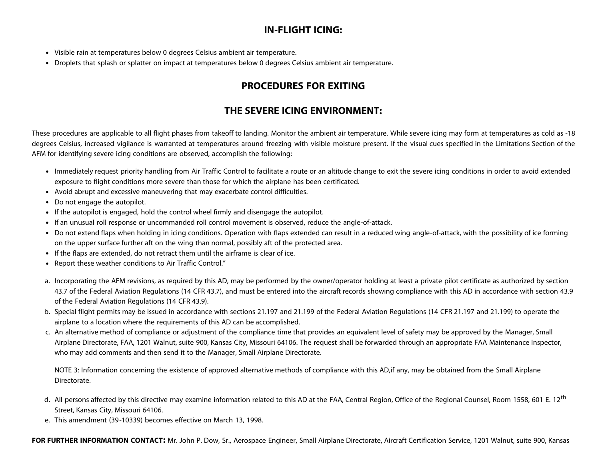# **IN-FLIGHT ICING:**

- Visible rain at temperatures below 0 degrees Celsius ambient air temperature.
- Droplets that splash or splatter on impact at temperatures below 0 degrees Celsius ambient air temperature.

# **PROCEDURES FOR EXITING**

## **THE SEVERE ICING ENVIRONMENT:**

These procedures are applicable to all flight phases from takeoff to landing. Monitor the ambient air temperature. While severe icing may form at temperatures as cold as -18 degrees Celsius, increased vigilance is warranted at temperatures around freezing with visible moisture present. If the visual cues specified in the Limitations Section of the AFM for identifying severe icing conditions are observed, accomplish the following:

- Immediately request priority handling from Air Traffic Control to facilitate a route or an altitude change to exit the severe icing conditions in order to avoid extended exposure to flight conditions more severe than those for which the airplane has been certificated.
- Avoid abrupt and excessive maneuvering that may exacerbate control difficulties.
- Do not engage the autopilot.
- If the autopilot is engaged, hold the control wheel firmly and disengage the autopilot.
- If an unusual roll response or uncommanded roll control movement is observed, reduce the angle-of-attack.
- Do not extend flaps when holding in icing conditions. Operation with flaps extended can result in a reduced wing angle-of-attack, with the possibility of ice forming on the upper surface further aft on the wing than normal, possibly aft of the protected area.
- If the flaps are extended, do not retract them until the airframe is clear of ice.
- Report these weather conditions to Air Traffic Control."
- a. Incorporating the AFM revisions, as required by this AD, may be performed by the owner/operator holding at least a private pilot certificate as authorized by section 43.7 of the Federal Aviation Regulations (14 CFR 43.7), and must be entered into the aircraft records showing compliance with this AD in accordance with section 43.9 of the Federal Aviation Regulations (14 CFR 43.9).
- b. Special flight permits may be issued in accordance with sections 21.197 and 21.199 of the Federal Aviation Regulations (14 CFR 21.197 and 21.199) to operate the airplane to a location where the requirements of this AD can be accomplished.
- c. An alternative method of compliance or adjustment of the compliance time that provides an equivalent level of safety may be approved by the Manager, Small Airplane Directorate, FAA, 1201 Walnut, suite 900, Kansas City, Missouri 64106. The request shall be forwarded through an appropriate FAA Maintenance Inspector, who may add comments and then send it to the Manager, Small Airplane Directorate.

NOTE 3: Information concerning the existence of approved alternative methods of compliance with this AD, if any, may be obtained from the Small Airplane Directorate.

- d. All persons affected by this directive may examine information related to this AD at the FAA, Central Region, Office of the Regional Counsel, Room 1558, 601 E. 12<sup>th</sup> Street, Kansas City, Missouri 64106.
- e. This amendment (39-10339) becomes effective on March 13, 1998.